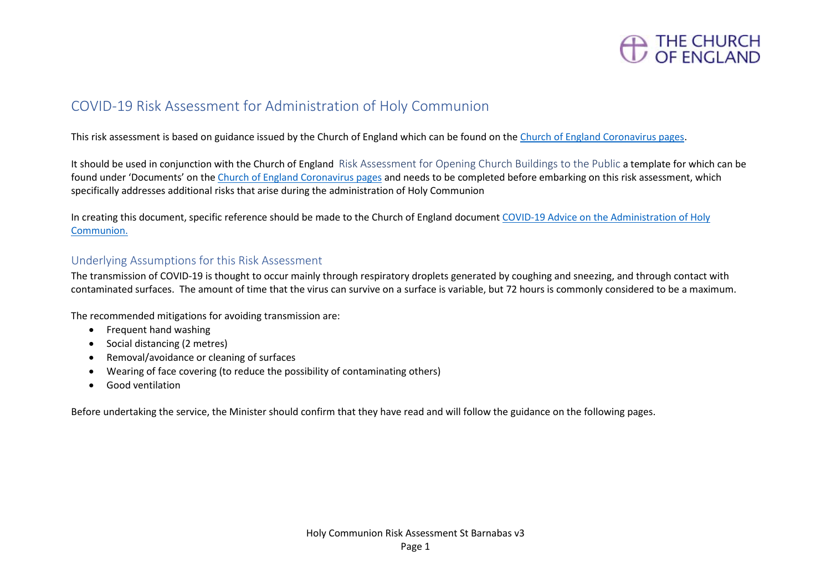

## COVID-19 Risk Assessment for Administration of Holy Communion

This risk assessment is based on guidance issued by the Church of England which can be found on the [Church of England Coronavirus pages.](https://www.churchofengland.org/more/media-centre/coronavirus-covid-19-guidance-churches)

It should be used in conjunction with the Church of England Risk Assessment for Opening Church Buildings to the Public a template for which can be found under 'Documents' on th[e Church of England Coronavirus pages](https://www.churchofengland.org/more/media-centre/coronavirus-covid-19-guidance-churches) and needs to be completed before embarking on this risk assessment, which specifically addresses additional risks that arise during the administration of Holy Communion

In creating this document, specific reference should be made to the Church of England document [COVID-19 Advice on the Administration of Holy](https://mcusercontent.com/14501d5eebc3e98fa3015a290/files/4749c383-5f08-434a-8fbd-beabdcb1d189/Coronavirus_Advice_on_the_Administration_of_Holy_Communion_v3.0.pdf)  [Communion.](https://mcusercontent.com/14501d5eebc3e98fa3015a290/files/4749c383-5f08-434a-8fbd-beabdcb1d189/Coronavirus_Advice_on_the_Administration_of_Holy_Communion_v3.0.pdf)

### Underlying Assumptions for this Risk Assessment

The transmission of COVID-19 is thought to occur mainly through respiratory droplets generated by coughing and sneezing, and through contact with contaminated surfaces. The amount of time that the virus can survive on a surface is variable, but 72 hours is commonly considered to be a maximum.

The recommended mitigations for avoiding transmission are:

- Frequent hand washing
- Social distancing (2 metres)
- Removal/avoidance or cleaning of surfaces
- Wearing of face covering (to reduce the possibility of contaminating others)
- Good ventilation

Before undertaking the service, the Minister should confirm that they have read and will follow the guidance on the following pages.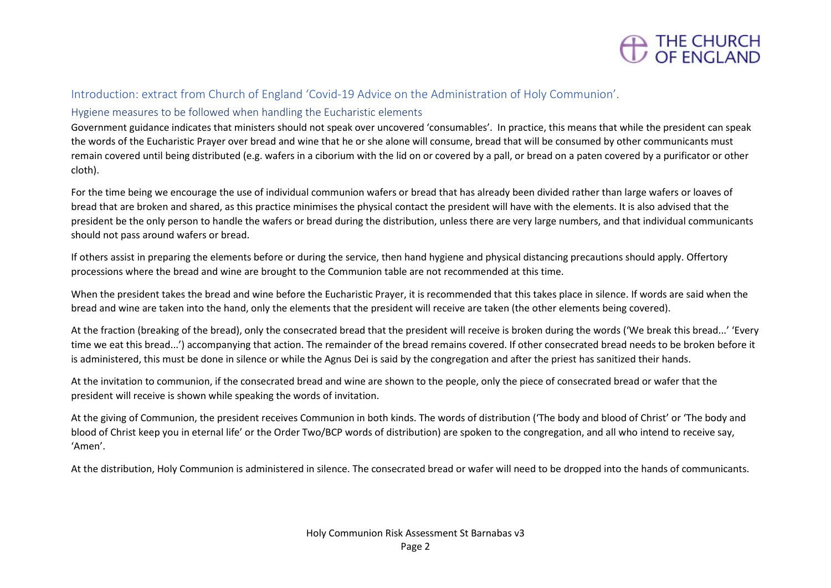

#### Introduction: extract from Church of England 'Covid-19 Advice on the Administration of Holy Communion'.

#### Hygiene measures to be followed when handling the Eucharistic elements

Government guidance indicates that ministers should not speak over uncovered 'consumables'. In practice, this means that while the president can speak the words of the Eucharistic Prayer over bread and wine that he or she alone will consume, bread that will be consumed by other communicants must remain covered until being distributed (e.g. wafers in a ciborium with the lid on or covered by a pall, or bread on a paten covered by a purificator or other cloth).

For the time being we encourage the use of individual communion wafers or bread that has already been divided rather than large wafers or loaves of bread that are broken and shared, as this practice minimises the physical contact the president will have with the elements. It is also advised that the president be the only person to handle the wafers or bread during the distribution, unless there are very large numbers, and that individual communicants should not pass around wafers or bread.

If others assist in preparing the elements before or during the service, then hand hygiene and physical distancing precautions should apply. Offertory processions where the bread and wine are brought to the Communion table are not recommended at this time.

When the president takes the bread and wine before the Eucharistic Prayer, it is recommended that this takes place in silence. If words are said when the bread and wine are taken into the hand, only the elements that the president will receive are taken (the other elements being covered).

At the fraction (breaking of the bread), only the consecrated bread that the president will receive is broken during the words ('We break this bread...' 'Every time we eat this bread...') accompanying that action. The remainder of the bread remains covered. If other consecrated bread needs to be broken before it is administered, this must be done in silence or while the Agnus Dei is said by the congregation and after the priest has sanitized their hands.

At the invitation to communion, if the consecrated bread and wine are shown to the people, only the piece of consecrated bread or wafer that the president will receive is shown while speaking the words of invitation.

At the giving of Communion, the president receives Communion in both kinds. The words of distribution ('The body and blood of Christ' or 'The body and blood of Christ keep you in eternal life' or the Order Two/BCP words of distribution) are spoken to the congregation, and all who intend to receive say, 'Amen'.

At the distribution, Holy Communion is administered in silence. The consecrated bread or wafer will need to be dropped into the hands of communicants.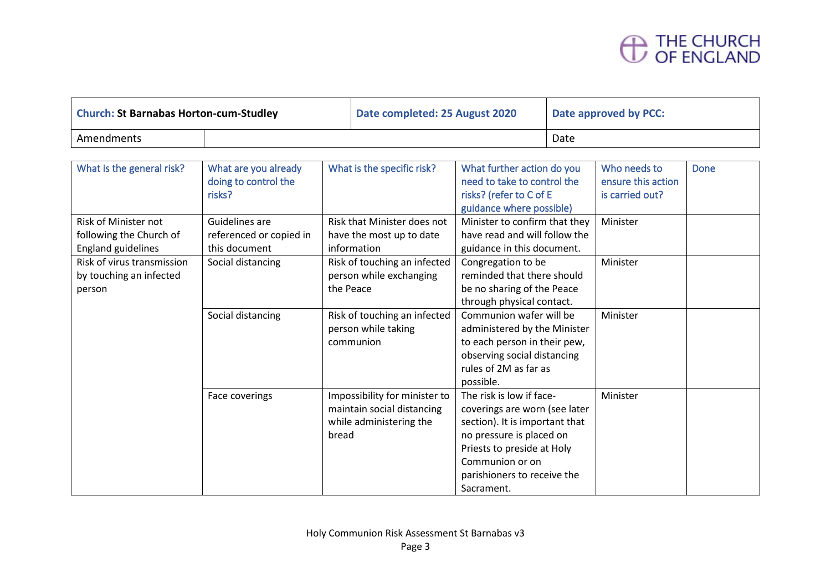# THE CHURCH<br>OF ENGLAND

| <b>Church: St Barnabas Horton-cum-Studley</b> |  | Date completed: 25 August 2020 | Date approved by PCC: |  |
|-----------------------------------------------|--|--------------------------------|-----------------------|--|
| Amendments                                    |  |                                | Date                  |  |

| What is the general risk?   | What are you already    | What is the specific risk?    | What further action do you     | Who needs to       | <b>Done</b> |
|-----------------------------|-------------------------|-------------------------------|--------------------------------|--------------------|-------------|
|                             | doing to control the    |                               | need to take to control the    | ensure this action |             |
|                             | risks?                  |                               | risks? (refer to C of E        | is carried out?    |             |
|                             |                         |                               | guidance where possible)       |                    |             |
| <b>Risk of Minister not</b> | Guidelines are          | Risk that Minister does not   | Minister to confirm that they  | Minister           |             |
| following the Church of     | referenced or copied in | have the most up to date      | have read and will follow the  |                    |             |
| <b>England guidelines</b>   | this document           | information                   | guidance in this document.     |                    |             |
| Risk of virus transmission  | Social distancing       | Risk of touching an infected  | Congregation to be             | Minister           |             |
| by touching an infected     |                         | person while exchanging       | reminded that there should     |                    |             |
| person                      |                         | the Peace                     | be no sharing of the Peace     |                    |             |
|                             |                         |                               | through physical contact.      |                    |             |
|                             | Social distancing       | Risk of touching an infected  | Communion wafer will be        | Minister           |             |
|                             |                         | person while taking           | administered by the Minister   |                    |             |
|                             |                         | communion                     | to each person in their pew,   |                    |             |
|                             |                         |                               | observing social distancing    |                    |             |
|                             |                         |                               | rules of 2M as far as          |                    |             |
|                             |                         |                               | possible.                      |                    |             |
|                             | Face coverings          | Impossibility for minister to | The risk is low if face-       | Minister           |             |
|                             |                         | maintain social distancing    | coverings are worn (see later  |                    |             |
|                             |                         | while administering the       | section). It is important that |                    |             |
|                             |                         | bread                         | no pressure is placed on       |                    |             |
|                             |                         |                               | Priests to preside at Holy     |                    |             |
|                             |                         |                               | Communion or on                |                    |             |
|                             |                         |                               | parishioners to receive the    |                    |             |
|                             |                         |                               | Sacrament.                     |                    |             |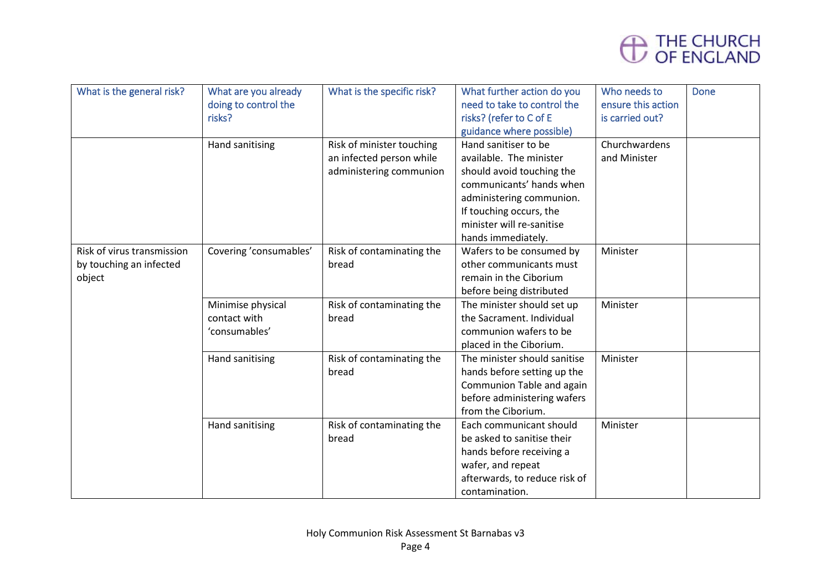

| What is the general risk?                                       | What are you already<br>doing to control the<br>risks? | What is the specific risk?                                                       | What further action do you<br>need to take to control the<br>risks? (refer to C of E<br>guidance where possible)                                                                                                   | Who needs to<br>ensure this action<br>is carried out? | <b>Done</b> |
|-----------------------------------------------------------------|--------------------------------------------------------|----------------------------------------------------------------------------------|--------------------------------------------------------------------------------------------------------------------------------------------------------------------------------------------------------------------|-------------------------------------------------------|-------------|
|                                                                 | Hand sanitising                                        | Risk of minister touching<br>an infected person while<br>administering communion | Hand sanitiser to be<br>available. The minister<br>should avoid touching the<br>communicants' hands when<br>administering communion.<br>If touching occurs, the<br>minister will re-sanitise<br>hands immediately. | Churchwardens<br>and Minister                         |             |
| Risk of virus transmission<br>by touching an infected<br>object | Covering 'consumables'                                 | Risk of contaminating the<br>bread                                               | Wafers to be consumed by<br>other communicants must<br>remain in the Ciborium<br>before being distributed                                                                                                          | Minister                                              |             |
|                                                                 | Minimise physical<br>contact with<br>'consumables'     | Risk of contaminating the<br>bread                                               | The minister should set up<br>the Sacrament. Individual<br>communion wafers to be<br>placed in the Ciborium.                                                                                                       | Minister                                              |             |
|                                                                 | Hand sanitising                                        | Risk of contaminating the<br>bread                                               | The minister should sanitise<br>hands before setting up the<br>Communion Table and again<br>before administering wafers<br>from the Ciborium.                                                                      | Minister                                              |             |
|                                                                 | Hand sanitising                                        | Risk of contaminating the<br>bread                                               | Each communicant should<br>be asked to sanitise their<br>hands before receiving a<br>wafer, and repeat<br>afterwards, to reduce risk of<br>contamination.                                                          | Minister                                              |             |